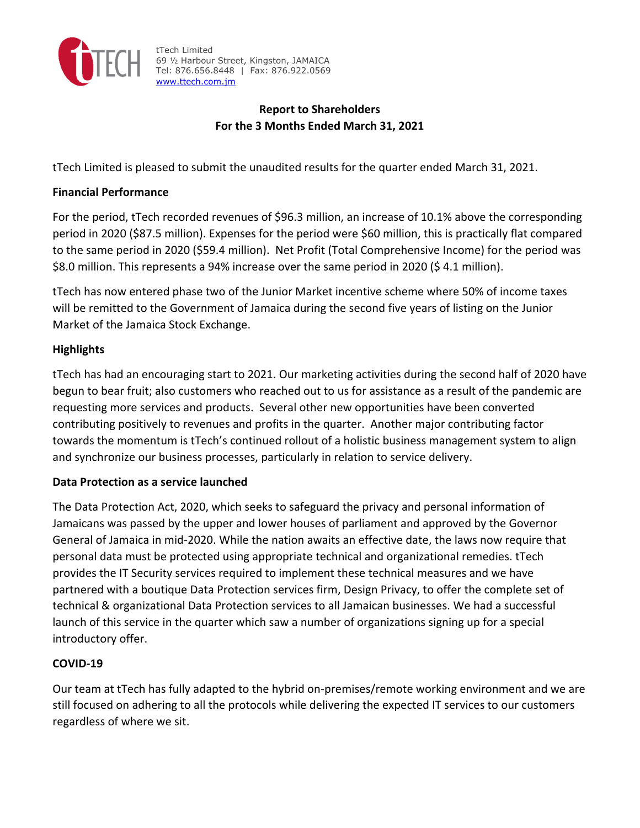

tTech Limited 69 ½ Harbour Street, Kingston, JAMAICA Tel: 876.656.8448 | Fax: 876.922.0569 www.ttech.com.jm

# **Report to Shareholders For the 3 Months Ended March 31, 2021**

tTech Limited is pleased to submit the unaudited results for the quarter ended March 31, 2021.

## **Financial Performance**

For the period, tTech recorded revenues of \$96.3 million, an increase of 10.1% above the corresponding period in 2020 (\$87.5 million). Expenses for the period were \$60 million, this is practically flat compared to the same period in 2020 (\$59.4 million). Net Profit (Total Comprehensive Income) for the period was \$8.0 million. This represents a 94% increase over the same period in 2020 (\$ 4.1 million).

tTech has now entered phase two of the Junior Market incentive scheme where 50% of income taxes will be remitted to the Government of Jamaica during the second five years of listing on the Junior Market of the Jamaica Stock Exchange.

# **Highlights**

tTech has had an encouraging start to 2021. Our marketing activities during the second half of 2020 have begun to bear fruit; also customers who reached out to us for assistance as a result of the pandemic are requesting more services and products. Several other new opportunities have been converted contributing positively to revenues and profits in the quarter. Another major contributing factor towards the momentum is tTech's continued rollout of a holistic business management system to align and synchronize our business processes, particularly in relation to service delivery.

## **Data Protection as a service launched**

The Data Protection Act, 2020, which seeks to safeguard the privacy and personal information of Jamaicans was passed by the upper and lower houses of parliament and approved by the Governor General of Jamaica in mid‐2020. While the nation awaits an effective date, the laws now require that personal data must be protected using appropriate technical and organizational remedies. tTech provides the IT Security services required to implement these technical measures and we have partnered with a boutique Data Protection services firm, Design Privacy, to offer the complete set of technical & organizational Data Protection services to all Jamaican businesses. We had a successful launch of this service in the quarter which saw a number of organizations signing up for a special introductory offer.

## **COVID‐19**

Our team at tTech has fully adapted to the hybrid on‐premises/remote working environment and we are still focused on adhering to all the protocols while delivering the expected IT services to our customers regardless of where we sit.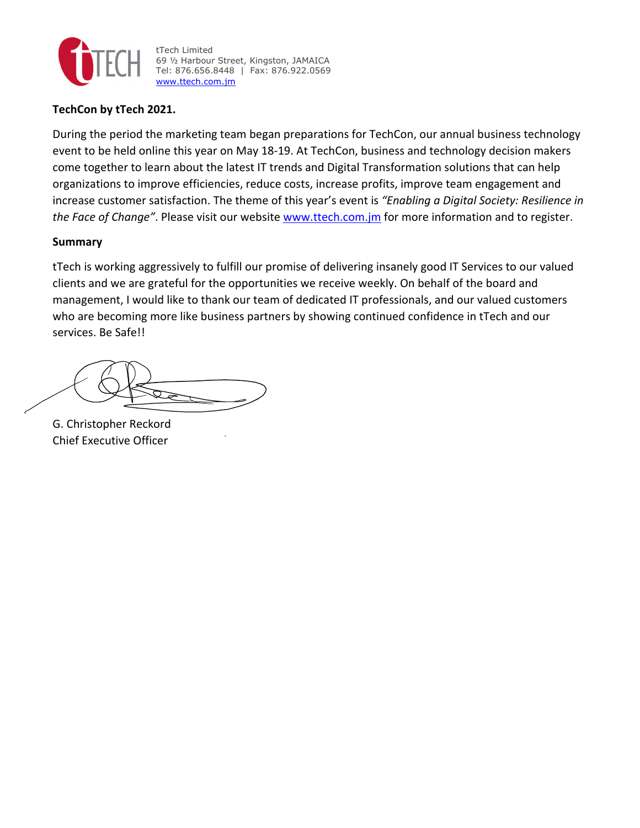

tTech Limited 69 ½ Harbour Street, Kingston, JAMAICA Tel: 876.656.8448 | Fax: 876.922.0569 www.ttech.com.jm

### **TechCon by tTech 2021.**

During the period the marketing team began preparations for TechCon, our annual business technology event to be held online this year on May 18‐19. At TechCon, business and technology decision makers come together to learn about the latest IT trends and Digital Transformation solutions that can help organizations to improve efficiencies, reduce costs, increase profits, improve team engagement and increase customer satisfaction. The theme of this year's event is *"Enabling a Digital Society: Resilience in the Face of Change"*. Please visit our website www.ttech.com.jm for more information and to register.

### **Summary**

tTech is working aggressively to fulfill our promise of delivering insanely good IT Services to our valued clients and we are grateful for the opportunities we receive weekly. On behalf of the board and management, I would like to thank our team of dedicated IT professionals, and our valued customers who are becoming more like business partners by showing continued confidence in tTech and our services. Be Safe!!

G. Christopher Reckord Chief Executive Officer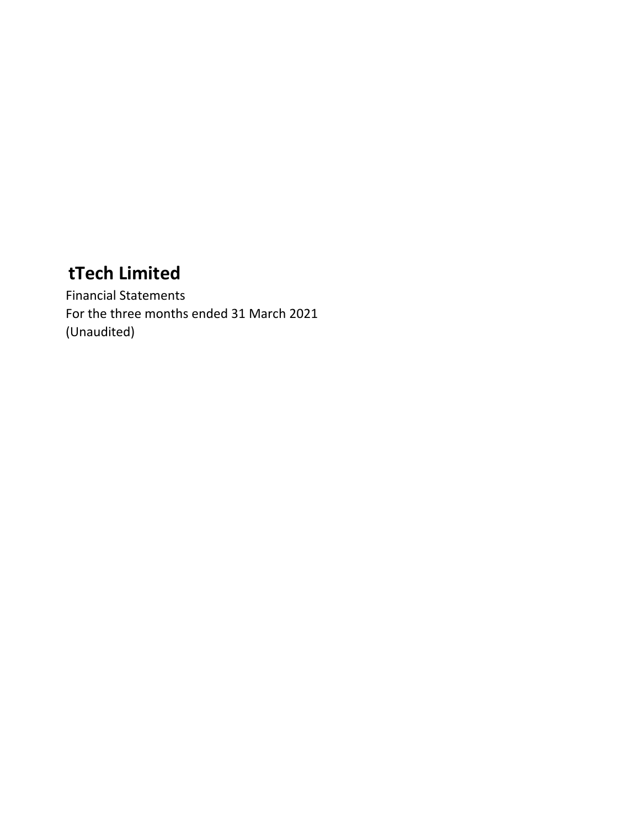Financial Statements For the three months ended 31 March 2021 (Unaudited)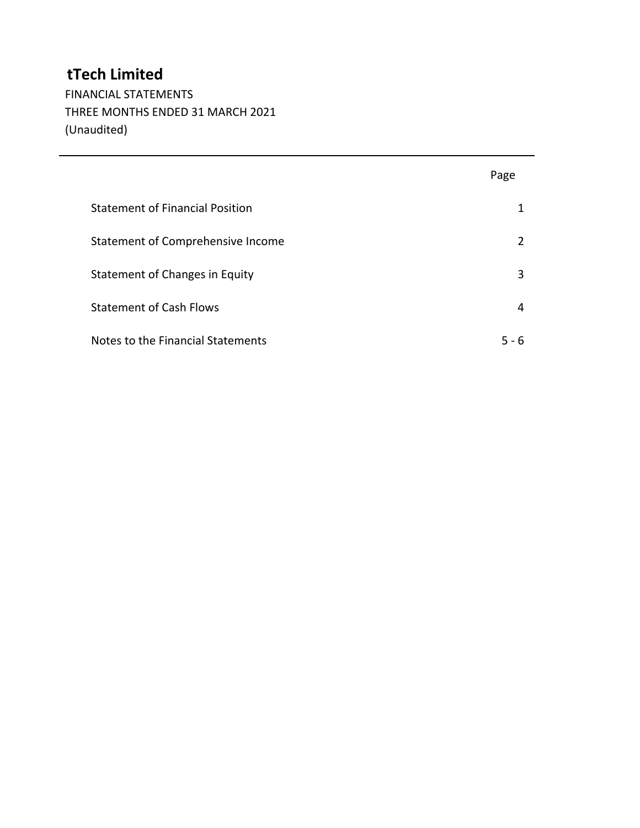FINANCIAL STATEMENTS THREE MONTHS ENDED 31 MARCH 2021 (Unaudited)

|                                        | Page          |
|----------------------------------------|---------------|
| <b>Statement of Financial Position</b> | 1             |
| Statement of Comprehensive Income      | $\mathcal{P}$ |
| Statement of Changes in Equity         | 3             |
| <b>Statement of Cash Flows</b>         | 4             |
| Notes to the Financial Statements      | 5 - 6         |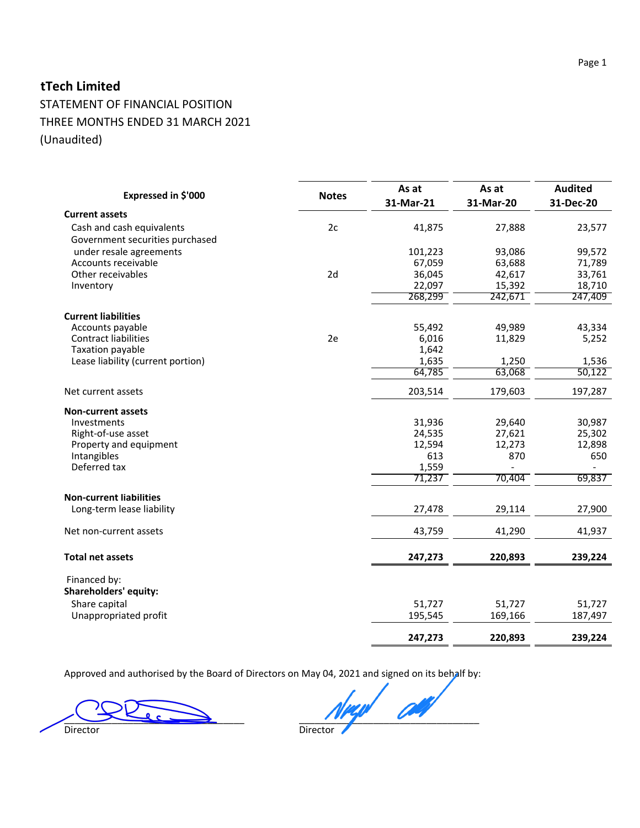STATEMENT OF FINANCIAL POSITION THREE MONTHS ENDED 31 MARCH 2021 (Unaudited)

| Expressed in \$'000                                          | <b>Notes</b> | As at<br>31-Mar-21 | As at<br>31-Mar-20 | <b>Audited</b><br>31-Dec-20 |
|--------------------------------------------------------------|--------------|--------------------|--------------------|-----------------------------|
| <b>Current assets</b>                                        |              |                    |                    |                             |
| Cash and cash equivalents<br>Government securities purchased | 2c           | 41,875             | 27,888             | 23,577                      |
| under resale agreements                                      |              | 101,223            | 93,086             | 99,572                      |
| Accounts receivable                                          |              | 67,059             | 63,688             | 71,789                      |
| Other receivables                                            | 2d           | 36,045             | 42,617             | 33,761                      |
| Inventory                                                    |              | 22,097             | 15,392             | 18,710                      |
|                                                              |              | 268,299            | 242,671            | 247,409                     |
| <b>Current liabilities</b>                                   |              |                    |                    |                             |
| Accounts payable                                             |              | 55,492             | 49,989             | 43,334                      |
| <b>Contract liabilities</b>                                  | 2e           | 6,016              | 11,829             | 5,252                       |
| Taxation payable                                             |              | 1,642              |                    |                             |
| Lease liability (current portion)                            |              | 1,635              | 1,250              | 1,536                       |
|                                                              |              | 64,785             | 63,068             | 50,122                      |
| Net current assets                                           |              | 203,514            | 179,603            | 197,287                     |
| <b>Non-current assets</b>                                    |              |                    |                    |                             |
| Investments                                                  |              | 31,936             | 29,640             | 30,987                      |
| Right-of-use asset                                           |              | 24,535             | 27,621             | 25,302                      |
| Property and equipment                                       |              | 12,594             | 12,273             | 12,898                      |
| Intangibles                                                  |              | 613                | 870                | 650                         |
| Deferred tax                                                 |              | 1,559              |                    |                             |
|                                                              |              | 71,237             | 70,404             | 69,837                      |
| <b>Non-current liabilities</b>                               |              |                    |                    |                             |
| Long-term lease liability                                    |              | 27,478             | 29,114             | 27,900                      |
| Net non-current assets                                       |              | 43,759             | 41,290             | 41,937                      |
| <b>Total net assets</b>                                      |              | 247,273            | 220,893            | 239,224                     |
| Financed by:<br><b>Shareholders' equity:</b>                 |              |                    |                    |                             |
|                                                              |              |                    |                    |                             |
| Share capital<br>Unappropriated profit                       |              | 51,727<br>195,545  | 51,727<br>169,166  | 51,727<br>187,497           |
|                                                              |              |                    |                    |                             |
|                                                              |              | 247,273            | 220,893            | 239,224                     |

Approved and authorised by the Board of Directors on May 04, 2021 and signed on its behalf by:

Director

\_\_\_\_\_\_\_\_\_\_\_\_\_\_\_\_\_\_\_\_\_\_\_\_\_\_\_\_\_\_\_\_\_\_ \_\_\_\_\_\_\_\_\_\_\_\_\_\_\_\_\_\_\_\_\_\_\_\_\_\_\_\_\_\_\_\_\_\_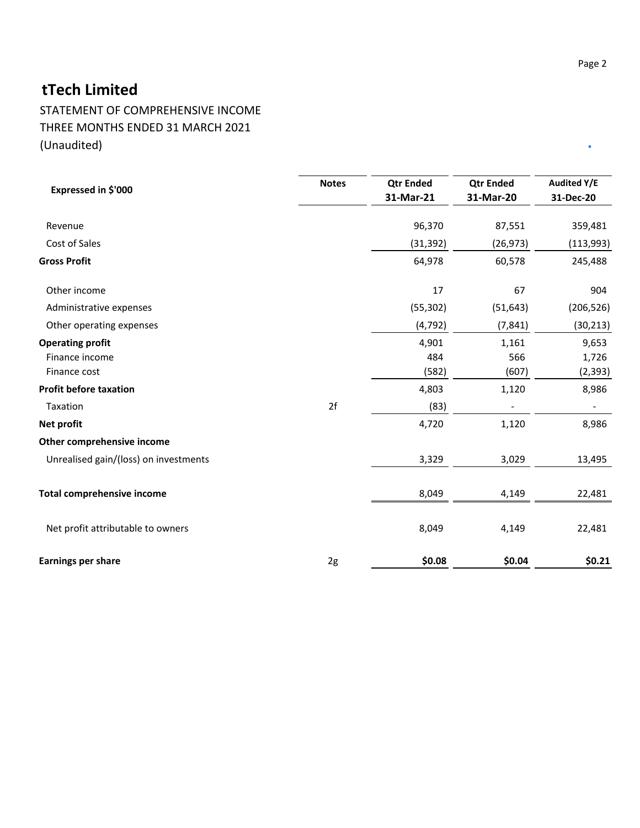STATEMENT OF COMPREHENSIVE INCOME THREE MONTHS ENDED 31 MARCH 2021 (Unaudited)

| Expressed in \$'000                                       | <b>Notes</b> | <b>Qtr Ended</b><br>31-Mar-21 | <b>Qtr Ended</b><br>31-Mar-20 | <b>Audited Y/E</b><br>31-Dec-20 |
|-----------------------------------------------------------|--------------|-------------------------------|-------------------------------|---------------------------------|
| Revenue                                                   |              | 96,370                        | 87,551                        | 359,481                         |
| Cost of Sales                                             |              | (31, 392)                     | (26, 973)                     | (113,993)                       |
| <b>Gross Profit</b>                                       |              | 64,978                        | 60,578                        | 245,488                         |
| Other income                                              |              | 17                            | 67                            | 904                             |
| Administrative expenses                                   |              | (55, 302)                     | (51, 643)                     | (206, 526)                      |
| Other operating expenses                                  |              | (4, 792)                      | (7, 841)                      | (30, 213)                       |
| <b>Operating profit</b><br>Finance income<br>Finance cost |              | 4,901<br>484<br>(582)         | 1,161<br>566<br>(607)         | 9,653<br>1,726<br>(2, 393)      |
| <b>Profit before taxation</b>                             |              | 4,803                         | 1,120                         | 8,986                           |
| Taxation                                                  | 2f           | (83)                          |                               |                                 |
| Net profit                                                |              | 4,720                         | 1,120                         | 8,986                           |
| Other comprehensive income                                |              |                               |                               |                                 |
| Unrealised gain/(loss) on investments                     |              | 3,329                         | 3,029                         | 13,495                          |
| <b>Total comprehensive income</b>                         |              | 8,049                         | 4,149                         | 22,481                          |
| Net profit attributable to owners                         |              | 8,049                         | 4,149                         | 22,481                          |
| <b>Earnings per share</b>                                 | 2g           | \$0.08                        | \$0.04                        | \$0.21                          |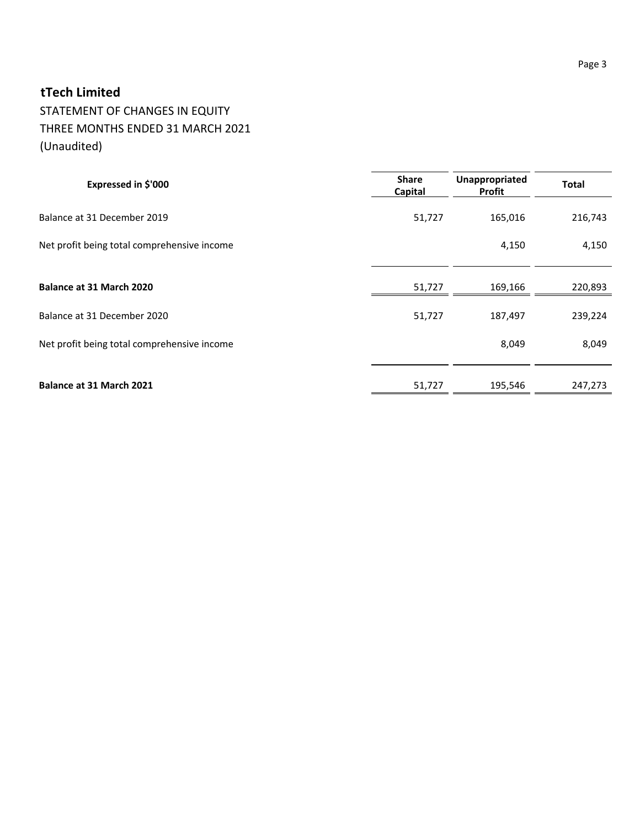# STATEMENT OF CHANGES IN EQUITY THREE MONTHS ENDED 31 MARCH 2021 (Unaudited)

| Expressed in \$'000                         | <b>Share</b><br><b>Capital</b> | Unappropriated<br>Profit | <b>Total</b> |
|---------------------------------------------|--------------------------------|--------------------------|--------------|
| Balance at 31 December 2019                 | 51,727                         | 165,016                  | 216,743      |
| Net profit being total comprehensive income |                                | 4,150                    | 4,150        |
| Balance at 31 March 2020                    | 51,727                         | 169,166                  | 220,893      |
| Balance at 31 December 2020                 | 51,727                         | 187,497                  | 239,224      |
| Net profit being total comprehensive income |                                | 8,049                    | 8,049        |
| Balance at 31 March 2021                    | 51,727                         | 195,546                  | 247,273      |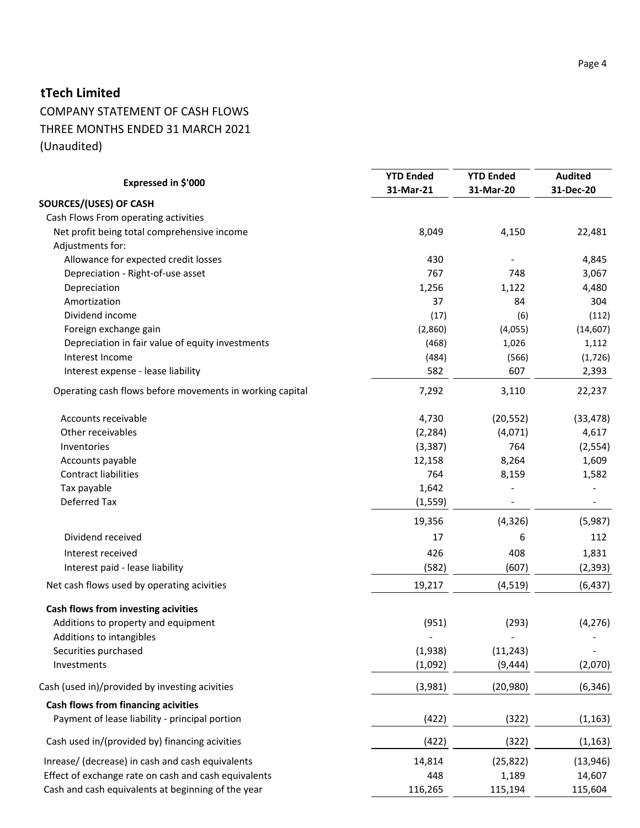# COMPANY STATEMENT OF CASH FLOWS THREE MONTHS ENDED 31 MARCH 2021 (Unaudited)

| Expressed in \$'000                                      | <b>YTD Ended</b><br>31-Mar-21 | <b>YTD Ended</b><br>31-Mar-20 | <b>Audited</b><br>31-Dec-20 |
|----------------------------------------------------------|-------------------------------|-------------------------------|-----------------------------|
| SOURCES/(USES) OF CASH                                   |                               |                               |                             |
| Cash Flows From operating activities                     |                               |                               |                             |
| Net profit being total comprehensive income              | 8,049                         | 4,150                         | 22,481                      |
| Adjustments for:                                         |                               |                               |                             |
| Allowance for expected credit losses                     | 430                           |                               | 4,845                       |
| Depreciation - Right-of-use asset                        | 767                           | 748                           | 3,067                       |
| Depreciation                                             | 1,256                         | 1,122                         | 4,480                       |
| Amortization                                             | 37                            | 84                            | 304                         |
| Dividend income                                          | (17)                          | (6)                           | (112)                       |
| Foreign exchange gain                                    | (2,860)                       | (4,055)                       | (14, 607)                   |
| Depreciation in fair value of equity investments         | (468)                         | 1,026                         | 1,112                       |
| Interest Income                                          | (484)                         | (566)                         | (1, 726)                    |
| Interest expense - lease liability                       | 582                           | 607                           | 2,393                       |
| Operating cash flows before movements in working capital | 7,292                         | 3,110                         | 22,237                      |
| Accounts receivable                                      | 4,730                         | (20, 552)                     | (33, 478)                   |
| Other receivables                                        | (2, 284)                      | (4,071)                       | 4,617                       |
| Inventories                                              | (3, 387)                      | 764                           | (2, 554)                    |
| Accounts payable                                         | 12,158                        | 8,264                         | 1,609                       |
| <b>Contract liabilities</b>                              | 764                           | 8,159                         | 1,582                       |
| Tax payable                                              | 1,642                         |                               |                             |
| Deferred Tax                                             | (1, 559)                      |                               | $\blacksquare$              |
|                                                          | 19,356                        | (4, 326)                      | (5,987)                     |
| Dividend received                                        | 17                            | 6                             | 112                         |
| Interest received                                        | 426                           | 408                           | 1,831                       |
| Interest paid - lease liability                          | (582)                         | (607)                         | (2, 393)                    |
| Net cash flows used by operating acivities               | 19,217                        | (4, 519)                      | (6, 437)                    |
| Cash flows from investing acivities                      |                               |                               |                             |
| Additions to property and equipment                      | (951)                         | (293)                         | (4, 276)                    |
| Additions to intangibles                                 |                               |                               |                             |
| Securities purchased                                     | (1,938)                       | (11, 243)                     |                             |
| Investments                                              | (1,092)                       | (9, 444)                      | (2,070)                     |
| Cash (used in)/provided by investing acivities           | (3,981)                       | (20, 980)                     | (6, 346)                    |
| Cash flows from financing acivities                      |                               |                               |                             |
| Payment of lease liability - principal portion           | (422)                         | (322)                         | (1, 163)                    |
| Cash used in/(provided by) financing acivities           | (422)                         | (322)                         | (1, 163)                    |
| Inrease/ (decrease) in cash and cash equivalents         | 14,814                        | (25, 822)                     | (13, 946)                   |
| Effect of exchange rate on cash and cash equivalents     | 448                           | 1,189                         | 14,607                      |
| Cash and cash equivalents at beginning of the year       | 116,265                       | 115,194                       | 115,604                     |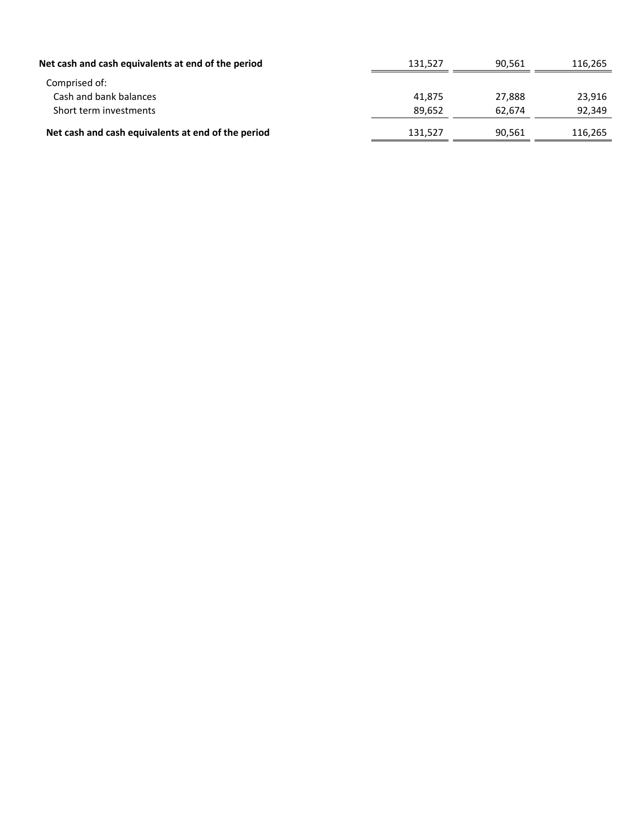| Net cash and cash equivalents at end of the period | 131.527 | 90.561 | 116.265 |
|----------------------------------------------------|---------|--------|---------|
| Comprised of:                                      |         |        |         |
| Cash and bank balances                             | 41.875  | 27.888 | 23,916  |
| Short term investments                             | 89.652  | 62.674 | 92,349  |
| Net cash and cash equivalents at end of the period | 131,527 | 90,561 | 116,265 |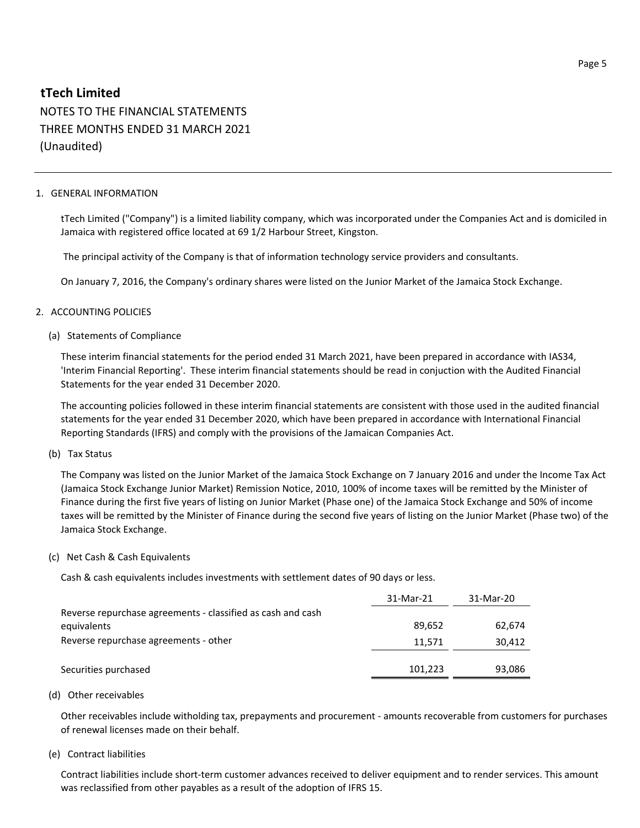NOTES TO THE FINANCIAL STATEMENTS THREE MONTHS ENDED 31 MARCH 2021 (Unaudited)

### 1. GENERAL INFORMATION

tTech Limited ("Company") is a limited liability company, which was incorporated under the Companies Act and is domiciled in Jamaica with registered office located at 69 1/2 Harbour Street, Kingston.

The principal activity of the Company is that of information technology service providers and consultants.

On January 7, 2016, the Company's ordinary shares were listed on the Junior Market of the Jamaica Stock Exchange.

### 2. ACCOUNTING POLICIES

### (a) Statements of Compliance

These interim financial statements for the period ended 31 March 2021, have been prepared in accordance with IAS34, 'Interim Financial Reporting'. These interim financial statements should be read in conjuction with the Audited Financial Statements for the year ended 31 December 2020.

The accounting policies followed in these interim financial statements are consistent with those used in the audited financial statements for the year ended 31 December 2020, which have been prepared in accordance with International Financial Reporting Standards (IFRS) and comply with the provisions of the Jamaican Companies Act.

### (b) Tax Status

The Company was listed on the Junior Market of the Jamaica Stock Exchange on 7 January 2016 and under the Income Tax Act (Jamaica Stock Exchange Junior Market) Remission Notice, 2010, 100% of income taxes will be remitted by the Minister of Finance during the first five years of listing on Junior Market (Phase one) of the Jamaica Stock Exchange and 50% of income taxes will be remitted by the Minister of Finance during the second five years of listing on the Junior Market (Phase two) of the Jamaica Stock Exchange.

### (c) Net Cash & Cash Equivalents

Cash & cash equivalents includes investments with settlement dates of 90 days or less.

|                                                             | 31-Mar-21 | 31-Mar-20 |
|-------------------------------------------------------------|-----------|-----------|
| Reverse repurchase agreements - classified as cash and cash |           |           |
| equivalents                                                 | 89.652    | 62.674    |
| Reverse repurchase agreements - other                       | 11,571    | 30,412    |
|                                                             |           |           |
| Securities purchased                                        | 101,223   | 93,086    |

### (d) Other receivables

Other receivables include witholding tax, prepayments and procurement - amounts recoverable from customers for purchases of renewal licenses made on their behalf.

### (e) Contract liabilities

Contract liabilities include short-term customer advances received to deliver equipment and to render services. This amount was reclassified from other payables as a result of the adoption of IFRS 15.